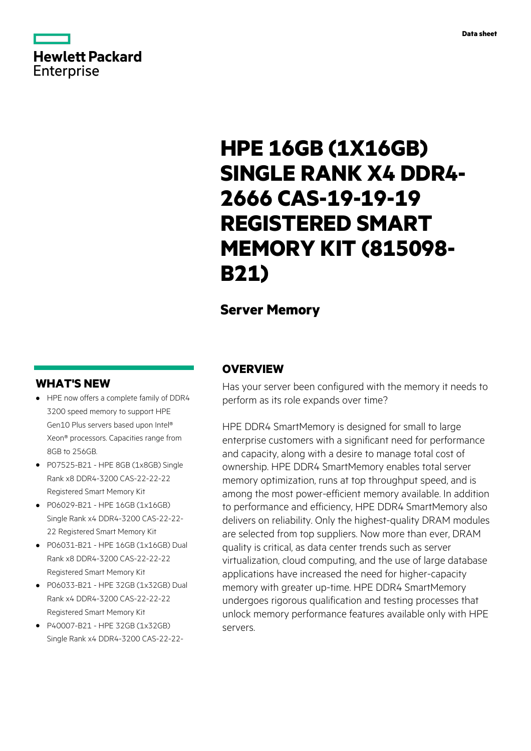# **Hewlett Packard** Enterprise

# **HPE 16GB (1X16GB) SINGLE RANK X4 DDR4- 2666 CAS-19-19-19 REGISTERED SMART MEMORY KIT (815098- B21)**

# **Server Memory**

# **WHAT'S NEW**

- **·** HPE now offers a complete family of DDR4 3200 speed memory to support HPE Gen10 Plus servers based upon Intel® Xeon® processors. Capacities range from 8GB to 256GB.
- **·** P07525-B21 HPE 8GB (1x8GB) Single Rank x8 DDR4-3200 CAS-22-22-22 Registered Smart Memory Kit
- **·** P06029-B21 HPE 16GB (1x16GB) Single Rank x4 DDR4-3200 CAS-22-22- 22 Registered Smart Memory Kit
- **·** P06031-B21 HPE 16GB (1x16GB) Dual Rank x8 DDR4-3200 CAS-22-22-22 Registered Smart Memory Kit
- **·** P06033-B21 HPE 32GB (1x32GB) Dual Rank x4 DDR4-3200 CAS-22-22-22 Registered Smart Memory Kit
- **·** P40007-B21 HPE 32GB (1x32GB) Single Rank x4 DDR4-3200 CAS-22-22-

# **OVERVIEW**

Has your server been configured with the memory it needs to perform as its role expands over time?

HPE DDR4 SmartMemory is designed for small to large enterprise customers with a significant need for performance and capacity, along with a desire to manage total cost of ownership. HPE DDR4 SmartMemory enables total server memory optimization, runs at top throughput speed, and is among the most power-efficient memory available. In addition to performance and efficiency, HPE DDR4 SmartMemory also delivers on reliability. Only the highest-quality DRAM modules are selected from top suppliers. Now more than ever, DRAM quality is critical, as data center trends such as server virtualization, cloud computing, and the use of large database applications have increased the need for higher-capacity memory with greater up-time. HPE DDR4 SmartMemory undergoes rigorous qualification and testing processes that unlock memory performance features available only with HPE servers.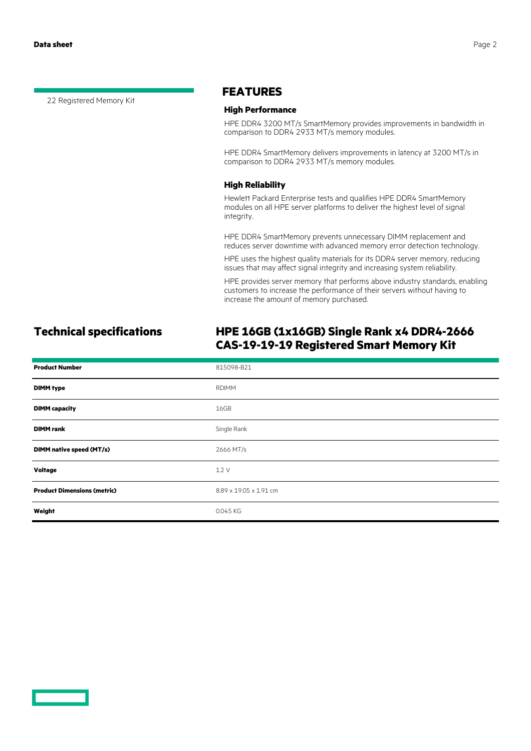22 Registered Memory Kit

### **FEATURES**

#### **High Performance**

HPE DDR4 3200 MT/s SmartMemory provides improvements in bandwidth in comparison to DDR4 2933 MT/s memory modules.

HPE DDR4 SmartMemory delivers improvements in latency at 3200 MT/s in comparison to DDR4 2933 MT/s memory modules.

#### **High Reliability**

Hewlett Packard Enterprise tests and qualifies HPE DDR4 SmartMemory modules on all HPE server platforms to deliver the highest level of signal integrity.

HPE DDR4 SmartMemory prevents unnecessary DIMM replacement and reduces server downtime with advanced memory error detection technology.

HPE uses the highest quality materials for its DDR4 server memory, reducing issues that may affect signal integrity and increasing system reliability.

HPE provides server memory that performs above industry standards, enabling customers to increase the performance of their servers without having to increase the amount of memory purchased.

# **Technical specifications HPE 16GB (1x16GB) Single Rank x4 DDR4-2666 CAS-19-19-19 Registered Smart Memory Kit**

| <b>Product Number</b>              | 815098-B21             |
|------------------------------------|------------------------|
| <b>DIMM</b> type                   | <b>RDIMM</b>           |
| <b>DIMM</b> capacity               | 16GB                   |
| <b>DIMM</b> rank                   | Single Rank            |
| DIMM native speed (MT/s)           | 2666 MT/s              |
| Voltage                            | 1.2V                   |
| <b>Product Dimensions (metric)</b> | 8.89 x 19.05 x 1.91 cm |
| Weight                             | 0.045 KG               |